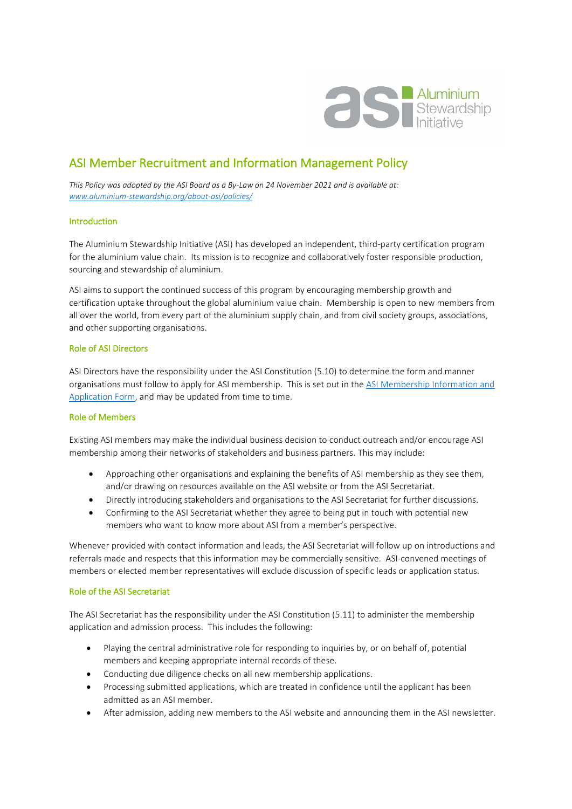

# ASI Member Recruitment and Information Management Policy

*This Policy was adopted by the ASI Board as a By-Law on 24 November 2021 and is available at: [www.aluminium-stewardship.org/about-asi/policies/](http://www.aluminium-stewardship.org/about-asi/policies/)*

## Introduction

The Aluminium Stewardship Initiative (ASI) has developed an independent, third-party certification program for the aluminium value chain. Its mission is to recognize and collaboratively foster responsible production, sourcing and stewardship of aluminium.

ASI aims to support the continued success of this program by encouraging membership growth and certification uptake throughout the global aluminium value chain. Membership is open to new members from all over the world, from every part of the aluminium supply chain, and from civil society groups, associations, and other supporting organisations.

## Role of ASI Directors

ASI Directors have the responsibility under the ASI Constitution (5.10) to determine the form and manner organisations must follow to apply for ASI membership. This is set out in the [ASI Membership Information and](http://aluminium-stewardship.org/about-asi/join-asi/)  [Application Form,](http://aluminium-stewardship.org/about-asi/join-asi/) and may be updated from time to time.

## Role of Members

Existing ASI members may make the individual business decision to conduct outreach and/or encourage ASI membership among their networks of stakeholders and business partners. This may include:

- Approaching other organisations and explaining the benefits of ASI membership as they see them, and/or drawing on resources available on the ASI website or from the ASI Secretariat.
- Directly introducing stakeholders and organisations to the ASI Secretariat for further discussions.
- Confirming to the ASI Secretariat whether they agree to being put in touch with potential new members who want to know more about ASI from a member's perspective.

Whenever provided with contact information and leads, the ASI Secretariat will follow up on introductions and referrals made and respects that this information may be commercially sensitive. ASI-convened meetings of members or elected member representatives will exclude discussion of specific leads or application status.

## Role of the ASI Secretariat

The ASI Secretariat has the responsibility under the ASI Constitution (5.11) to administer the membership application and admission process. This includes the following:

- Playing the central administrative role for responding to inquiries by, or on behalf of, potential members and keeping appropriate internal records of these.
- Conducting due diligence checks on all new membership applications.
- Processing submitted applications, which are treated in confidence until the applicant has been admitted as an ASI member.
- After admission, adding new members to the ASI website and announcing them in the ASI newsletter.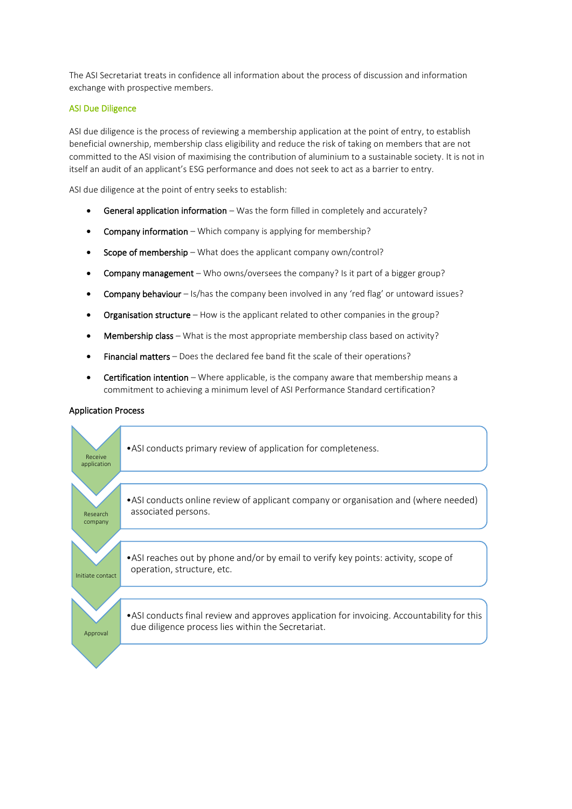The ASI Secretariat treats in confidence all information about the process of discussion and information exchange with prospective members.

## ASI Due Diligence

ASI due diligence is the process of reviewing a membership application at the point of entry, to establish beneficial ownership, membership class eligibility and reduce the risk of taking on members that are not committed to the ASI vision of maximising the contribution of aluminium to a sustainable society. It is not in itself an audit of an applicant's ESG performance and does not seek to act as a barrier to entry.

ASI due diligence at the point of entry seeks to establish:

- General application information Was the form filled in completely and accurately?
- Company information Which company is applying for membership?
- Scope of membership What does the applicant company own/control?
- Company management Who owns/oversees the company? Is it part of a bigger group?
- Company behaviour Is/has the company been involved in any 'red flag' or untoward issues?
- Organisation structure How is the applicant related to other companies in the group?
- Membership class What is the most appropriate membership class based on activity?
- Financial matters Does the declared fee band fit the scale of their operations?
- Certification intention Where applicable, is the company aware that membership means a commitment to achieving a minimum level of ASI Performance Standard certification?

## Application Process